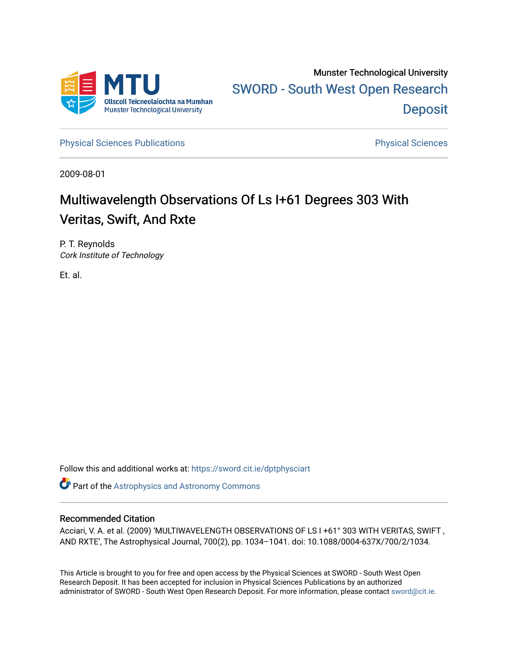

[Physical Sciences Publications](https://sword.cit.ie/dptphysciart) **Physical Sciences** Physical Sciences

2009-08-01

# Multiwavelength Observations Of Ls I+61 Degrees 303 With Veritas, Swift, And Rxte

P. T. Reynolds Cork Institute of Technology

Et. al.

Follow this and additional works at: [https://sword.cit.ie/dptphysciart](https://sword.cit.ie/dptphysciart?utm_source=sword.cit.ie%2Fdptphysciart%2F66&utm_medium=PDF&utm_campaign=PDFCoverPages)

Part of the [Astrophysics and Astronomy Commons](http://network.bepress.com/hgg/discipline/123?utm_source=sword.cit.ie%2Fdptphysciart%2F66&utm_medium=PDF&utm_campaign=PDFCoverPages) 

# Recommended Citation

Acciari, V. A. et al. (2009) 'MULTIWAVELENGTH OBSERVATIONS OF LS I +61° 303 WITH VERITAS, SWIFT , AND RXTE', The Astrophysical Journal, 700(2), pp. 1034–1041. doi: 10.1088/0004-637X/700/2/1034.

This Article is brought to you for free and open access by the Physical Sciences at SWORD - South West Open Research Deposit. It has been accepted for inclusion in Physical Sciences Publications by an authorized administrator of SWORD - South West Open Research Deposit. For more information, please contact [sword@cit.ie.](mailto:sword@cit.ie)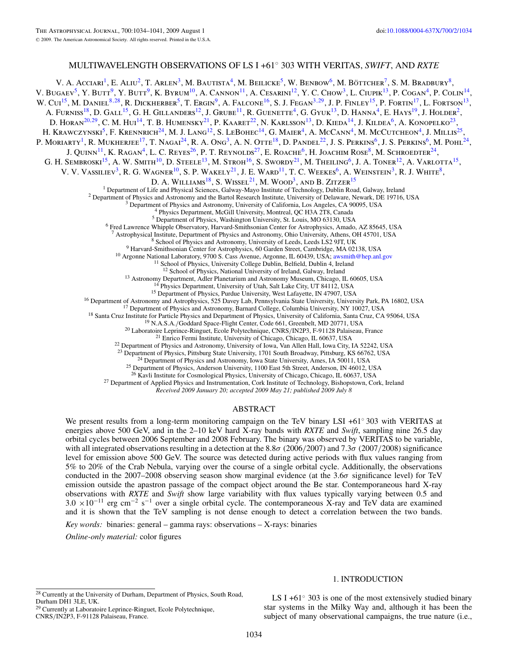# MULTIWAVELENGTH OBSERVATIONS OF LS I +61◦ 303 WITH VERITAS, *SWIFT*, AND *RXTE*

V. A. Acciari<sup>1</sup>, E. Aliu<sup>2</sup>, T. Arlen<sup>3</sup>, M. Bautista<sup>4</sup>, M. Beilicke<sup>5</sup>, W. Benbow<sup>6</sup>, M. Böttcher<sup>7</sup>, S. M. Bradbury<sup>8</sup>, V. BUGAEV<sup>5</sup>, Y. BUTT<sup>9</sup>, Y. BUTT<sup>9</sup>, K. BYRUM<sup>10</sup>, A. CANNON<sup>11</sup>, A. CESARINI<sup>12</sup>, Y. C. CHOW<sup>3</sup>, L. CIUPIK<sup>13</sup>, P. COGAN<sup>4</sup>, P. COLIN<sup>14</sup>, W. Cui<sup>15</sup>, M. Daniel<sup>8,28</sup>, R. Dickherber<sup>5</sup>, T. Ergin<sup>9</sup>, A. Falcone<sup>16</sup>, S. J. Fegan<sup>3,29</sup>, J. P. Finley<sup>15</sup>, P. Fortin<sup>17</sup>, L. Fortson<sup>13</sup>, A. Furniss<sup>18</sup>, D. Gall<sup>15</sup>, G. H. Gillanders<sup>12</sup>, J. Grube<sup>11</sup>, R. Guenette<sup>4</sup>, G. Gyuk<sup>13</sup>, D. Hanna<sup>4</sup>, E. Hays<sup>19</sup>, J. Holder<sup>2</sup>, D. HORAN<sup>20,29</sup>, C. M. Hui<sup>14</sup>, T. B. HUMENSKY<sup>21</sup>, P. KAARET<sup>22</sup>, N. KARLSSON<sup>13</sup>, D. KIEDA<sup>14</sup>, J. KILDEA<sup>6</sup>, A. KONOPELKO<sup>23</sup>, H. KRAWCZYNSKI<sup>5</sup>, F. KRENNRICH<sup>24</sup>, M. J. LANG<sup>12</sup>, S. LEBOHEC<sup>14</sup>, G. MAIER<sup>4</sup>, A. McCANN<sup>4</sup>, M. McCutcheon<sup>4</sup>, J. Millis<sup>25</sup>, P. MORIARTY<sup>1</sup>, R. MUKHERJEE<sup>17</sup>, T. NAGAI<sup>24</sup>, R. A. Ong<sup>3</sup>, A. N. Otte<sup>18</sup>, D. Pandel<sup>22</sup>, J. S. Perkins<sup>6</sup>, J. S. Perkins<sup>6</sup>, M. Pohl<sup>24</sup>, J. QUINN<sup>11</sup>, K. RAGAN<sup>4</sup>, L. C. REYES<sup>26</sup>, P. T. REYNOLDS<sup>27</sup>, E. ROACHE<sup>6</sup>, H. JOACHIM ROSE<sup>8</sup>, M. SCHROEDTER<sup>24</sup>, G. H. SEMBROSKI<sup>15</sup>, A. W. SMITH<sup>10</sup>, D. STEELE<sup>13</sup>, M. STROH<sup>16</sup>, S. SWORDY<sup>21</sup>, M. THEILING<sup>6</sup>, J. A. TONER<sup>12</sup>, A. VARLOTTA<sup>15</sup>, V. V. VASSILIEV<sup>3</sup>, R. G. WAGNER<sup>10</sup>, S. P. WAKELY<sup>21</sup>, J. E. WARD<sup>11</sup>, T. C. WEEKES<sup>6</sup>, A. WEINSTEIN<sup>3</sup>, R. J. WHITE<sup>8</sup>, D. A. WILLIAMS<sup>18</sup>, S. WISSEL<sup>21</sup>, M. WOOD<sup>3</sup>, AND B. ZITZER<sup>15</sup> <sup>1</sup> Department of Life and Physical Sciences, Galway-Mayo Institute of Technology, Dublin Road, Galway, Ireland  $^{2}$  Department of Physics and Astronomy and the Bartol Research Institute, University of Delaware, Newark, <sup>8</sup> School of Physics and Astronomy, University of Leeds, Leeds LS2 9JT, UK<br><sup>9</sup> Harvard-Smithsonian Center for Astrophysics, 60 Garden Street, Cambridge, MA 02138, USA<br><sup>10</sup> Argonne National Laboratory, 9700 S. Cass Avenue <sup>13</sup> Astronomy Department, Adler Planetarium and Astronomy Museum, Chicago, IL 60605, USA<br><sup>14</sup> Physics Department, University of Utah, Salt Lake City, UT 84112, USA<br><sup>14</sup> Physics Pepartment of Physics, Purdue University, W <sup>24</sup> Department of Physics and Astronomy, Iowa State University, Ames, IA 50011, USA  $^{25}$  Department of Physics, Anderson University, 1100 East 5th Street, Anderson, IN 46012, USA  $^{26}$  Kavli Institute for Cosmological

<sup>27</sup> Department of Applied Physics and Instrumentation, Cork Institute of Technology, Bishopstown, Cork, Ireland

*Received 2009 January 20; accepted 2009 May 21; published 2009 July 8*

#### ABSTRACT

We present results from a long-term monitoring campaign on the TeV binary LSI +61◦ 303 with VERITAS at energies above 500 GeV, and in the 2–10 keV hard X-ray bands with *RXTE* and *Swift*, sampling nine 26.5 day orbital cycles between 2006 September and 2008 February. The binary was observed by VERITAS to be variable, with all integrated observations resulting in a detection at the 8.8*σ* (2006*/*2007) and 7.3*σ* (2007*/*2008) significance level for emission above 500 GeV. The source was detected during active periods with flux values ranging from 5% to 20% of the Crab Nebula, varying over the course of a single orbital cycle. Additionally, the observations conducted in the 2007–2008 observing season show marginal evidence (at the 3.6*σ* significance level) for TeV emission outside the apastron passage of the compact object around the Be star. Contemporaneous hard X-ray observations with *RXTE* and *Swift* show large variability with flux values typically varying between 0.5 and  $3.0 \times 10^{-11}$  erg cm<sup>-2</sup> s<sup>-1</sup> over a single orbital cycle. The contemporaneous X-ray and TeV data are examined and it is shown that the TeV sampling is not dense enough to detect a correlation between the two bands. *Key words:* binaries: general – gamma rays: observations – X-rays: binaries

*Online-only material:* color figures

# 1. INTRODUCTION

CNRS*/*IN2P3, F-91128 Palaiseau, France.

LS I +61 $\degree$  303 is one of the most extensively studied binary star systems in the Milky Way and, although it has been the subject of many observational campaigns, the true nature (i.e.,

<sup>28</sup> Currently at the University of Durham, Department of Physics, South Road, Durham DH<sub>1</sub> 3LE, UK. <sup>29</sup> Currently at Laboratoire Leprince-Ringuet, Ecole Polytechnique,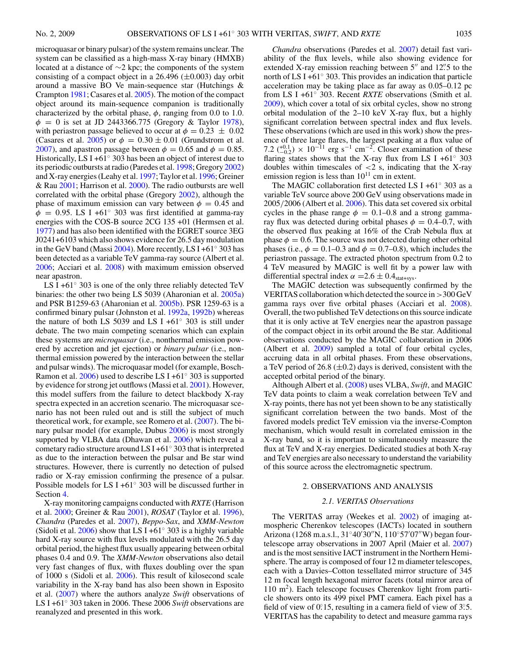microquasar or binary pulsar) of the system remains unclear. The system can be classified as a high-mass X-ray binary (HMXB) located at a distance of ∼2 kpc; the components of the system consisting of a compact object in a 26.496  $(\pm 0.003)$  day orbit around a massive BO Ve main-sequence star (Hutchings & Crampton [1981;](#page-8-0) Casares et al. [2005\)](#page-8-0). The motion of the compact object around its main-sequence companion is traditionally characterized by the orbital phase,  $\phi$ , ranging from 0.0 to 1.0. *φ* = 0 is set at JD 2443366.775 (Gregory & Taylor [1978\)](#page-8-0), with periastron passage believed to occur at  $\phi = 0.23 \pm 0.02$ (Casares et al. [2005\)](#page-8-0) or  $\phi = 0.30 \pm 0.01$  (Grundstrom et al. [2007\)](#page-8-0), and apastron passage between  $\phi = 0.65$  and  $\phi = 0.85$ . Historically, LS I +61 $\degree$  303 has been an object of interest due to its periodic outbursts at radio (Paredes et al. [1998;](#page-8-0) Gregory [2002\)](#page-8-0) and X-ray energies (Leahy et al. [1997;](#page-8-0) Taylor et al. [1996;](#page-8-0) Greiner & Rau [2001;](#page-8-0) Harrison et al. [2000\)](#page-8-0). The radio outbursts are well correlated with the orbital phase (Gregory [2002\)](#page-8-0), although the phase of maximum emission can vary between  $\phi = 0.45$  and  $\phi$  = 0.95. LS I +61<sup>°</sup> 303 was first identified at gamma-ray energies with the COS-B source 2CG 135 +01 (Hermsen et al. [1977\)](#page-8-0) and has also been identified with the EGRET source 3EG J0241+6103 which also shows evidence for 26.5 day modulation in the GeV band (Massi [2004\)](#page-8-0). More recently, LS I +61◦ 303 has been detected as a variable TeV gamma-ray source (Albert et al. [2006;](#page-8-0) Acciari et al. [2008\)](#page-8-0) with maximum emission observed near apastron.

LS I +61◦ 303 is one of the only three reliably detected TeV binaries: the other two being LS 5039 (Aharonian et al. [2005a\)](#page-8-0) and PSR B1259-63 (Aharonian et al. [2005b\)](#page-8-0). PSR 1259-63 is a confirmed binary pulsar (Johnston et al. [1992a,](#page-8-0) [1992b\)](#page-8-0) whereas the nature of both LS 5039 and LS I +61◦ 303 is still under debate. The two main competing scenarios which can explain these systems are *microquasar* (i.e., nonthermal emission powered by accretion and jet ejection) or *binary pulsar* (i.e., nonthermal emission powered by the interaction between the stellar and pulsar winds). The microquasar model (for example, Bosch-Ramon et al. [2006\)](#page-8-0) used to describe LS I +61◦ 303 is supported by evidence for strong jet outflows (Massi et al. [2001\)](#page-8-0). However, this model suffers from the failure to detect blackbody X-ray spectra expected in an accretion scenario. The microquasar scenario has not been ruled out and is still the subject of much theoretical work, for example, see Romero et al. [\(2007\)](#page-8-0). The binary pulsar model (for example, Dubus [2006\)](#page-8-0) is most strongly supported by VLBA data (Dhawan et al. [2006\)](#page-8-0) which reveal a cometary radio structure around LS I +61◦ 303 that is interpreted as due to the interaction between the pulsar and Be star wind structures. However, there is currently no detection of pulsed radio or X-ray emission confirming the presence of a pulsar. Possible models for LS I +61◦ 303 will be discussed further in Section [4.](#page-7-0)

X-ray monitoring campaigns conducted with *RXTE* (Harrison et al. [2000;](#page-8-0) Greiner & Rau [2001\)](#page-8-0), *ROSAT* (Taylor et al. [1996\)](#page-8-0), *Chandra* (Paredes et al. [2007\)](#page-8-0), *Beppo-Sax*, and *XMM-Newton* (Sidoli et al.  $2006$ ) show that LS I +61 $\degree$  303 is a highly variable hard X-ray source with flux levels modulated with the 26.5 day orbital period, the highest flux usually appearing between orbital phases 0.4 and 0.9. The *XMM-Newton* observations also detail very fast changes of flux, with fluxes doubling over the span of 1000 s (Sidoli et al. [2006\)](#page-8-0). This result of kilosecond scale variability in the X-ray band has also been shown in Esposito et al. [\(2007\)](#page-8-0) where the authors analyze *Swift* observations of LS I +61◦ 303 taken in 2006. These 2006 *Swift* observations are reanalyzed and presented in this work.

*Chandra* observations (Paredes et al. [2007\)](#page-8-0) detail fast variability of the flux levels, while also showing evidence for extended X-ray emission reaching between 5<sup>"</sup> and 12". 5 to the north of LS I +61<sup>°</sup> 303. This provides an indication that particle acceleration may be taking place as far away as 0.05–0.12 pc from LS I +61<sup>°</sup> 303. Recent *RXTE* observations (Smith et al. [2009\)](#page-8-0), which cover a total of six orbital cycles, show no strong orbital modulation of the 2–10 keV X-ray flux, but a highly significant correlation between spectral index and flux levels. These observations (which are used in this work) show the presence of three large flares, the largest peaking at a flux value of 7.2  $(^{+0.1}_{-0.2}) \times 10^{-11}$  erg s<sup>-1</sup> cm<sup>-2</sup>. Closer examination of these flaring states shows that the X-ray flux from LS I +61 $\degree$  303 doubles within timescales of *<*2 s, indicating that the X-ray emission region is less than  $10^{11}$  cm in extent.

The MAGIC collaboration first detected LS I +61◦ 303 as a variable TeV source above 200 GeV using observations made in 2005*/*2006 (Albert et al. [2006\)](#page-8-0). This data set covered six orbital cycles in the phase range  $\phi = 0.1{\text{-}}0.8$  and a strong gammaray flux was detected during orbital phases  $\phi = 0.4{\text{-}}0.7$ , with the observed flux peaking at 16% of the Crab Nebula flux at phase  $\phi = 0.6$ . The source was not detected during other orbital phases (i.e.,  $\phi = 0.1{\text{-}}0.3$  and  $\phi = 0.7{\text{-}}0.8$ ), which includes the periastron passage. The extracted photon spectrum from 0.2 to 4 TeV measured by MAGIC is well fit by a power law with differential spectral index  $\alpha = 2.6 \pm 0.4$ <sub>stat+sys</sub>.

The MAGIC detection was subsequently confirmed by the VERITAS collaboration which detected the source in *>*300 GeV gamma rays over five orbital phases (Acciari et al. [2008\)](#page-8-0). Overall, the two published TeV detections on this source indicate that it is only active at TeV energies near the apastron passage of the compact object in its orbit around the Be star. Additional observations conducted by the MAGIC collaboration in 2006 (Albert et al. [2009\)](#page-8-0) sampled a total of four orbital cycles, accruing data in all orbital phases. From these observations, a TeV period of 26.8  $(\pm 0.2)$  days is derived, consistent with the accepted orbital period of the binary.

Although Albert et al. [\(2008\)](#page-8-0) uses VLBA, *Swift*, and MAGIC TeV data points to claim a weak correlation between TeV and X-ray points, there has not yet been shown to be any statistically significant correlation between the two bands. Most of the favored models predict TeV emission via the inverse-Compton mechanism, which would result in correlated emission in the X-ray band, so it is important to simultaneously measure the flux at TeV and X-ray energies. Dedicated studies at both X-ray and TeV energies are also necessary to understand the variability of this source across the electromagnetic spectrum.

#### 2. OBSERVATIONS AND ANALYSIS

#### *2.1. VERITAS Observations*

The VERITAS array (Weekes et al. [2002\)](#page-8-0) of imaging atmospheric Cherenkov telescopes (IACTs) located in southern Arizona (1268 m.a.s.l., 31°40′30″N, 110°57′07″W) began fourtelescope array observations in 2007 April (Maier et al. [2007\)](#page-8-0) and is the most sensitive IACT instrument in the Northern Hemisphere. The array is composed of four 12 m diameter telescopes, each with a Davies–Cotton tessellated mirror structure of 345 12 m focal length hexagonal mirror facets (total mirror area of  $110 \text{ m}^2$ ). Each telescope focuses Cherenkov light from particle showers onto its 499 pixel PMT camera. Each pixel has a field of view of 0.<sup>2</sup> 15, resulting in a camera field of view of 3.5. VERITAS has the capability to detect and measure gamma rays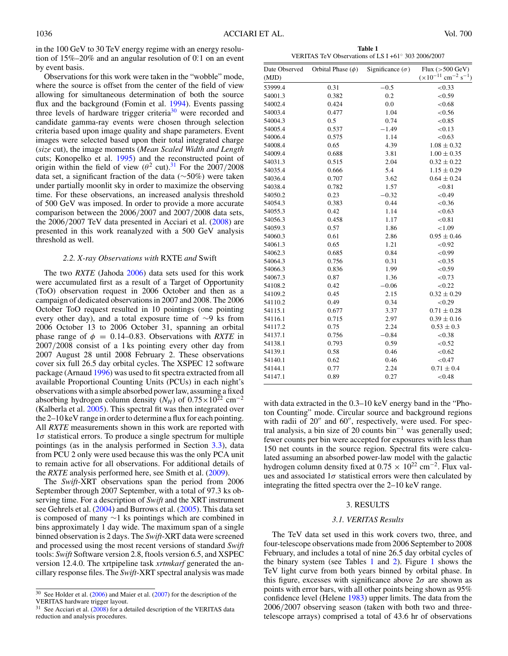<span id="page-3-0"></span>in the 100 GeV to 30 TeV energy regime with an energy resolution of 15%–20% and an angular resolution of 0.<sup>o</sup>.1 on an event by event basis.

Observations for this work were taken in the "wobble" mode, where the source is offset from the center of the field of view allowing for simultaneous determination of both the source flux and the background (Fomin et al. [1994\)](#page-8-0). Events passing three levels of hardware trigger criteria<sup>30</sup> were recorded and candidate gamma-ray events were chosen through selection criteria based upon image quality and shape parameters. Event images were selected based upon their total integrated charge (*size* cut), the image moments (*Mean Scaled Width and Length* cuts; Konopelko et al. [1995\)](#page-8-0) and the reconstructed point of origin within the field of view ( $\theta^2$  cut).<sup>31</sup> For the 2007/2008 data set, a significant fraction of the data (∼50%) were taken under partially moonlit sky in order to maximize the observing time. For these observations, an increased analysis threshold of 500 GeV was imposed. In order to provide a more accurate comparison between the 2006*/*2007 and 2007*/*2008 data sets, the 2006*/*2007 TeV data presented in Acciari et al. [\(2008\)](#page-8-0) are presented in this work reanalyzed with a 500 GeV analysis threshold as well.

## *2.2. X-ray Observations with* RXTE *and* Swift

The two *RXTE* (Jahoda [2006\)](#page-8-0) data sets used for this work were accumulated first as a result of a Target of Opportunity (ToO) observation request in 2006 October and then as a campaign of dedicated observations in 2007 and 2008. The 2006 October ToO request resulted in 10 pointings (one pointing every other day), and a total exposure time of ∼9 ks from 2006 October 13 to 2006 October 31, spanning an orbital phase range of  $\phi = 0.14{\text -}0.83$ . Observations with *RXTE* in 2007*/*2008 consist of a 1 ks pointing every other day from 2007 August 28 until 2008 February 2. These observations cover six full 26.5 day orbital cycles. The XSPEC 12 software package (Arnaud [1996\)](#page-8-0) was used to fit spectra extracted from all available Proportional Counting Units (PCUs) in each night's observations with a simple absorbed power law, assuming a fixed absorbing hydrogen column density ( $N_H$ ) of  $0.75 \times 10^{22}$  cm<sup>-2</sup> (Kalberla et al. [2005\)](#page-8-0). This spectral fit was then integrated over the 2–10 keV range in order to determine a flux for each pointing. All *RXTE* measurements shown in this work are reported with 1*σ* statistical errors. To produce a single spectrum for multiple pointings (as in the analysis performed in Section [3.3\)](#page-5-0), data from PCU 2 only were used because this was the only PCA unit to remain active for all observations. For additional details of the *RXTE* analysis performed here, see Smith et al. [\(2009\)](#page-8-0).

The *Swift*-XRT observations span the period from 2006 September through 2007 September, with a total of 97.3 ks observing time. For a description of *Swift* and the XRT instrument see Gehrels et al. [\(2004\)](#page-8-0) and Burrows et al. [\(2005\)](#page-8-0). This data set is composed of many ∼1 ks pointings which are combined in bins approximately 1 day wide. The maximum span of a single binned observation is 2 days. The *Swift*-XRT data were screened and processed using the most recent versions of standard *Swift* tools: *Swift* Software version 2.8, ftools version 6.5, and XSPEC version 12.4.0. The xrtpipeline task *xrtmkarf* generated the ancillary response files. The *Swift*-XRT spectral analysis was made

**Table 1** VERITAS TeV Observations of LS I +61◦ 303 2006/2007

| Date Observed | Orbital Phase $(\phi)$ | Significance $(\sigma)$ | Flux $(>500 \text{ GeV})$                       |
|---------------|------------------------|-------------------------|-------------------------------------------------|
| (MJD)         |                        |                         | $(x10^{-11}$ cm <sup>-2</sup> s <sup>-1</sup> ) |
| 53999.4       | 0.31                   | $-0.5$                  | < 0.33                                          |
| 54001.3       | 0.382                  | 0.2                     | < 0.59                                          |
| 54002.4       | 0.424                  | 0.0                     | < 0.68                                          |
| 54003.4       | 0.477                  | 1.04                    | < 0.56                                          |
| 54004.3       | 0.5                    | 0.74                    | < 0.85                                          |
| 54005.4       | 0.537                  | $-1.49$                 | < 0.13                                          |
| 54006.4       | 0.575                  | 1.14                    | < 0.63                                          |
| 54008.4       | 0.65                   | 4.39                    | $1.08 \pm 0.32$                                 |
| 54009.4       | 0.688                  | 3.81                    | $1.00 \pm 0.35$                                 |
| 54031.3       | 0.515                  | 2.04                    | $0.32 \pm 0.22$                                 |
| 54035.4       | 0.666                  | 5.4                     | $1.15 \pm 0.29$                                 |
| 54036.4       | 0.707                  | 3.62                    | $0.64 \pm 0.24$                                 |
| 54038.4       | 0.782                  | 1.57                    | < 0.81                                          |
| 54050.2       | 0.23                   | $-0.32$                 | < 0.49                                          |
| 54054.3       | 0.383                  | 0.44                    | < 0.36                                          |
| 54055.3       | 0.42                   | 1.14                    | < 0.63                                          |
| 54056.3       | 0.458                  | 1.17                    | < 0.81                                          |
| 54059.3       | 0.57                   | 1.86                    | < 1.09                                          |
| 54060.3       | 0.61                   | 2.86                    | $0.95 \pm 0.46$                                 |
| 54061.3       | 0.65                   | 1.21                    | < 0.92                                          |
| 54062.3       | 0.685                  | 0.84                    | < 0.99                                          |
| 54064.3       | 0.756                  | 0.31                    | < 0.35                                          |
| 54066.3       | 0.836                  | 1.99                    | < 0.59                                          |
| 54067.3       | 0.87                   | 1.36                    | < 0.73                                          |
| 54108.2       | 0.42                   | $-0.06$                 | < 0.22                                          |
| 54109.2       | 0.45                   | 2.15                    | $0.32 \pm 0.29$                                 |
| 54110.2       | 0.49                   | 0.34                    | < 0.29                                          |
| 54115.1       | 0.677                  | 3.37                    | $0.71 \pm 0.28$                                 |
| 54116.1       | 0.715                  | 2.97                    | $0.39 \pm 0.16$                                 |
| 54117.2       | 0.75                   | 2.24                    | $0.53 \pm 0.3$                                  |
| 54137.1       | 0.756                  | $-0.84$                 | < 0.38                                          |
| 54138.1       | 0.793                  | 0.59                    | < 0.52                                          |
| 54139.1       | 0.58                   | 0.46                    | < 0.62                                          |
| 54140.1       | 0.62                   | 0.46                    | < 0.47                                          |
| 54144.1       | 0.77                   | 2.24                    | $0.71 \pm 0.4$                                  |
| 54147.1       | 0.89                   | 0.27                    | < 0.48                                          |
|               |                        |                         |                                                 |

with data extracted in the 0.3–10 keV energy band in the "Photon Counting" mode. Circular source and background regions with radii of  $20''$  and  $60''$ , respectively, were used. For spectral analysis, a bin size of 20 counts bin<sup>-1</sup> was generally used; fewer counts per bin were accepted for exposures with less than 150 net counts in the source region. Spectral fits were calculated assuming an absorbed power-law model with the galactic hydrogen column density fixed at  $0.75 \times 10^{22}$  cm<sup>-2</sup>. Flux values and associated  $1\sigma$  statistical errors were then calculated by integrating the fitted spectra over the 2–10 keV range.

### 3. RESULTS

#### *3.1. VERITAS Results*

The TeV data set used in this work covers two, three, and four-telescope observations made from 2006 September to 2008 February, and includes a total of nine 26.5 day orbital cycles of the binary system (see Tables 1 and [2\)](#page-4-0). Figure [1](#page-4-0) shows the TeV light curve from both years binned by orbital phase. In this figure, excesses with significance above  $2\sigma$  are shown as points with error bars, with all other points being shown as 95% confidence level (Helene [1983\)](#page-8-0) upper limits. The data from the 2006*/*2007 observing season (taken with both two and threetelescope arrays) comprised a total of 43.6 hr of observations

 $30$  See Holder et al. [\(2006\)](#page-8-0) and Maier et al. [\(2007\)](#page-8-0) for the description of the VERITAS hardware trigger layout.

<sup>31</sup> See Acciari et al. [\(2008\)](#page-8-0) for a detailed description of the VERITAS data reduction and analysis procedures.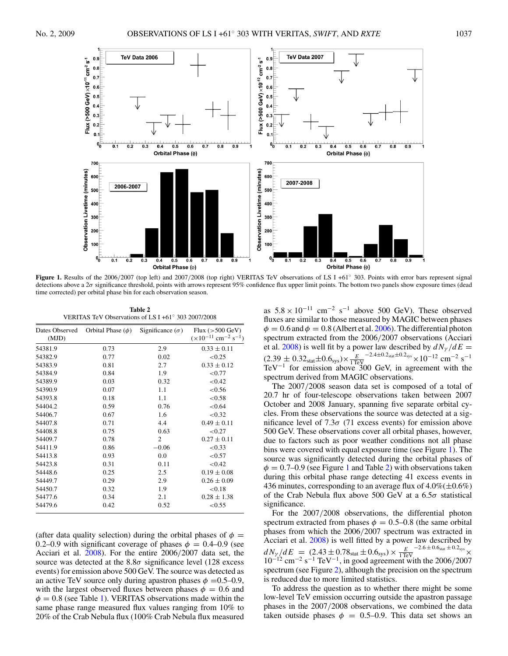<span id="page-4-0"></span>

**Figure 1.** Results of the 2006*/*2007 (top left) and 2007*/*2008 (top right) VERITAS TeV observations of LS I +61◦ 303. Points with error bars represent signal detections above a 2*σ* significance threshold, points with arrows represent 95% confidence flux upper limit points. The bottom two panels show exposure times (dead time corrected) per orbital phase bin for each observation season.

**Table 2** VERITAS TeV Observations of LS I +61◦ 303 2007/2008

| Dates Observed<br>(MJD) | Orbital Phase $(\phi)$ | Significance $(\sigma)$ | Flux $(>500 \text{ GeV})$<br>$(\times 10^{-11}$ cm <sup>-2</sup> s <sup>-1</sup> ) |
|-------------------------|------------------------|-------------------------|------------------------------------------------------------------------------------|
|                         |                        |                         |                                                                                    |
| 54381.9                 | 0.73                   | 2.9                     | $0.33 \pm 0.11$                                                                    |
| 54382.9                 | 0.77                   | 0.02                    | < 0.25                                                                             |
| 54383.9                 | 0.81                   | 2.7                     | $0.33 \pm 0.12$                                                                    |
| 54384.9                 | 0.84                   | 1.9                     | < 0.77                                                                             |
| 54389.9                 | 0.03                   | 0.32                    | < 0.42                                                                             |
| 54390.9                 | 0.07                   | 1.1                     | < 0.56                                                                             |
| 54393.8                 | 0.18                   | 1.1                     | < 0.58                                                                             |
| 54404.2                 | 0.59                   | 0.76                    | < 0.64                                                                             |
| 54406.7                 | 0.67                   | 1.6                     | < 0.32                                                                             |
| 54407.8                 | 0.71                   | 4.4                     | $0.49 \pm 0.11$                                                                    |
| 54408.8                 | 0.75                   | 0.63                    | < 0.27                                                                             |
| 54409.7                 | 0.78                   | $\overline{2}$          | $0.27 \pm 0.11$                                                                    |
| 54411.9                 | 0.86                   | $-0.06$                 | < 0.33                                                                             |
| 54413.8                 | 0.93                   | 0.0                     | < 0.57                                                                             |
| 54423.8                 | 0.31                   | 0.11                    | < 0.42                                                                             |
| 54448.6                 | 0.25                   | 2.5                     | $0.19 \pm 0.08$                                                                    |
| 54449.7                 | 0.29                   | 2.9                     | $0.26 \pm 0.09$                                                                    |
| 54450.7                 | 0.32                   | 1.9                     | < 0.18                                                                             |
| 54477.6                 | 0.34                   | 2.1                     | $0.28 \pm 1.38$                                                                    |
| 54479.6                 | 0.42                   | 0.52                    | < 0.55                                                                             |
|                         |                        |                         |                                                                                    |

(after data quality selection) during the orbital phases of  $\phi$  = 0.2–0.9 with significant coverage of phases  $\phi = 0.4$ –0.9 (see Acciari et al. [2008\)](#page-8-0). For the entire 2006*/*2007 data set, the source was detected at the  $8.8\sigma$  significance level (128 excess events) for emission above 500 GeV. The source was detected as an active TeV source only during apastron phases  $\phi = 0.5{\text -}0.9$ , with the largest observed fluxes between phases  $\phi = 0.6$  and  $\phi = 0.8$  (see Table [1\)](#page-3-0). VERITAS observations made within the same phase range measured flux values ranging from 10% to 20% of the Crab Nebula flux (100% Crab Nebula flux measured

as  $5.8 \times 10^{-11}$  cm<sup>-2</sup> s<sup>-1</sup> above 500 GeV). These observed fluxes are similar to those measured by MAGIC between phases  $\phi = 0.6$  and  $\phi = 0.8$  (Albert et al. [2006\)](#page-8-0). The differential photon spectrum extracted from the 2006*/*2007 observations (Acciari et al. [2008\)](#page-8-0) is well fit by a power law described by  $dN_{\gamma}/dE =$  $(2.39 \pm 0.32<sub>stat</sub> \pm 0.6<sub>sys</sub>) \times \frac{E}{1 \text{ TeV}} > 2.4 \pm 0.2<sub>sys</sub> \times 10<sup>-12</sup> \text{ cm}<sup>-2</sup> \text{ s}<sup>-1</sup>$ TeV<sup>-1</sup> for emission above 300 GeV, in agreement with the spectrum derived from MAGIC observations.

The 2007*/*2008 season data set is composed of a total of 20.7 hr of four-telescope observations taken between 2007 October and 2008 January, spanning five separate orbital cycles. From these observations the source was detected at a significance level of  $7.3\sigma$  (71 excess events) for emission above 500 GeV. These observations cover all orbital phases, however, due to factors such as poor weather conditions not all phase bins were covered with equal exposure time (see Figure 1). The source was significantly detected during the orbital phases of  $\phi = 0.7{\text -}0.9$  (see Figure 1 and Table 2) with observations taken during this orbital phase range detecting 41 excess events in 436 minutes, corresponding to an average flux of  $4.0\%(\pm 0.6\%)$ of the Crab Nebula flux above 500 GeV at a 6.5*σ* statistical significance.

For the 2007*/*2008 observations, the differential photon spectrum extracted from phases  $\phi = 0.5{\text -}0.8$  (the same orbital phases from which the 2006*/*2007 spectrum was extracted in Acciari et al. [2008\)](#page-8-0) is well fitted by a power law described by  $dN_{\gamma}/dE = (2.43 \pm 0.78<sub>stat</sub> \pm 0.6<sub>sys</sub>) \times \frac{E}{1 \text{TeV}}^{-2.6 \pm 0.6<sub>stat</sub> \pm 0.2<sub>sys</sub>} \times 10^{-12} \text{ cm}^{-2} \text{ s}^{-1} \text{ TeV}^{-1}$ , in good agreement with the 2006/2007 spectrum (see Figure [2\)](#page-5-0), although the precision on the spectrum is reduced due to more limited statistics.

To address the question as to whether there might be some low-level TeV emission occurring outside the apastron passage phases in the 2007*/*2008 observations, we combined the data taken outside phases  $\phi = 0.5{\text -}0.9$ . This data set shows an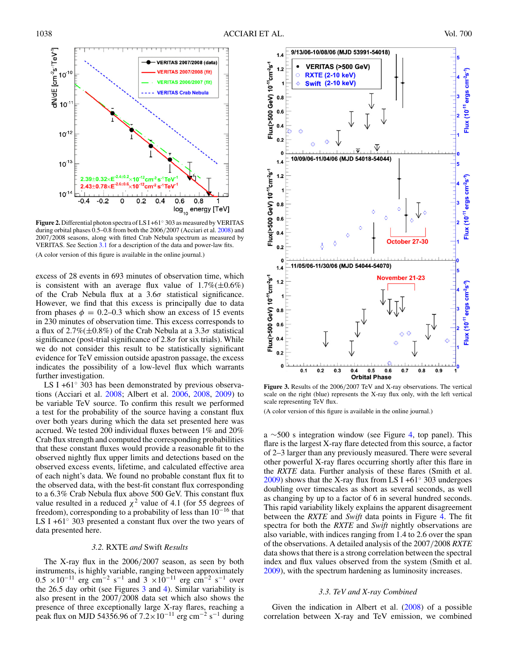<span id="page-5-0"></span>

**Figure 2.** Differential photon spectra of LS I +61◦ 303 as measured by VERITAS during orbital phases 0.5–0.8 from both the 2006*/*2007 (Acciari et al. [2008\)](#page-8-0) and 2007*/*2008 seasons, along with fitted Crab Nebula spectrum as measured by VERITAS. See Section [3.1](#page-3-0) for a description of the data and power-law fits. (A color version of this figure is available in the online journal.)

excess of 28 events in 693 minutes of observation time, which is consistent with an average flux value of  $1.7\%(\pm 0.6\%)$ of the Crab Nebula flux at a 3.6*σ* statistical significance. However, we find that this excess is principally due to data from phases  $\phi = 0.2{\text{-}}0.3$  which show an excess of 15 events in 230 minutes of observation time. This excess corresponds to a flux of 2.7%(±0.8%) of the Crab Nebula at a 3.3*σ* statistical significance (post-trial significance of 2.8*σ* for six trials). While we do not consider this result to be statistically significant evidence for TeV emission outside apastron passage, the excess indicates the possibility of a low-level flux which warrants further investigation.

LS I +61◦ 303 has been demonstrated by previous observations (Acciari et al. [2008;](#page-8-0) Albert et al. [2006,](#page-8-0) [2008,](#page-8-0) [2009\)](#page-8-0) to be variable TeV source. To confirm this result we performed a test for the probability of the source having a constant flux over both years during which the data set presented here was accrued. We tested 200 individual fluxes between 1% and 20% Crab flux strength and computed the corresponding probabilities that these constant fluxes would provide a reasonable fit to the observed nightly flux upper limits and detections based on the observed excess events, lifetime, and calculated effective area of each night's data. We found no probable constant flux fit to the observed data, with the best-fit constant flux corresponding to a 6.3% Crab Nebula flux above 500 GeV. This constant flux value resulted in a reduced  $\chi^2$  value of 4.1 (for 55 degrees of freedom), corresponding to a probability of less than  $10^{-16}$  that LS I +61◦ 303 presented a constant flux over the two years of data presented here.

## *3.2.* RXTE *and* Swift *Results*

The X-ray flux in the 2006*/*2007 season, as seen by both instruments, is highly variable, ranging between approximately  $0.5 \times 10^{-11}$  erg cm<sup>-2</sup> s<sup>-1</sup> and 3 ×10<sup>-11</sup> erg cm<sup>-2</sup> s<sup>-1</sup> over the 26.5 day orbit (see Figures 3 and [4\)](#page-6-0). Similar variability is also present in the 2007*/*2008 data set which also shows the presence of three exceptionally large X-ray flares, reaching a peak flux on MJD 54356.96 of  $7.2\times10^{-11}$  erg cm<sup>-2</sup> s<sup>-1</sup> during



**Figure 3.** Results of the 2006*/*2007 TeV and X-ray observations. The vertical scale on the right (blue) represents the X-ray flux only, with the left vertical scale representing TeV flux.

(A color version of this figure is available in the online journal.)

a ∼500 s integration window (see Figure [4,](#page-6-0) top panel). This flare is the largest X-ray flare detected from this source, a factor of 2–3 larger than any previously measured. There were several other powerful X-ray flares occurring shortly after this flare in the *RXTE* data. Further analysis of these flares (Smith et al. [2009\)](#page-8-0) shows that the X-ray flux from LS I +61 $\degree$  303 undergoes doubling over timescales as short as several seconds, as well as changing by up to a factor of 6 in several hundred seconds. This rapid variability likely explains the apparent disagreement between the *RXTE* and *Swift* data points in Figure [4.](#page-6-0) The fit spectra for both the *RXTE* and *Swift* nightly observations are also variable, with indices ranging from 1.4 to 2.6 over the span of the observations. A detailed analysis of the 2007*/*2008 *RXTE* data shows that there is a strong correlation between the spectral index and flux values observed from the system (Smith et al. [2009\)](#page-8-0), with the spectrum hardening as luminosity increases.

#### *3.3. TeV and X-ray Combined*

Given the indication in Albert et al. [\(2008\)](#page-8-0) of a possible correlation between X-ray and TeV emission, we combined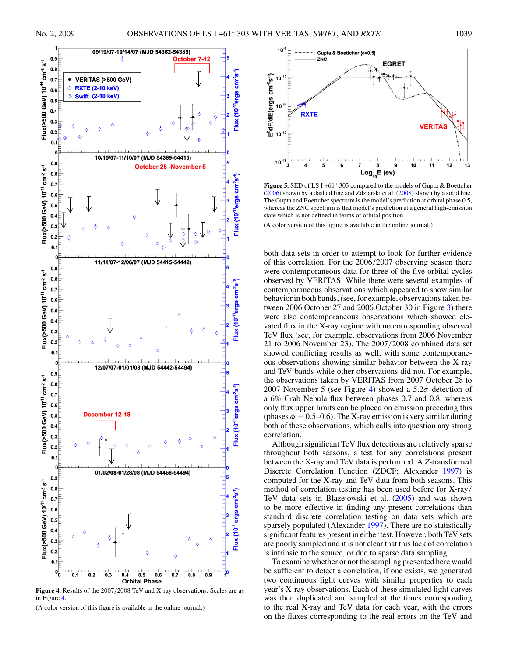<span id="page-6-0"></span>

**Figure 4.** Results of the 2007*/*2008 TeV and X-ray observations. Scales are as in Figure 4.

(A color version of this figure is available in the online journal.)



**Figure 5.** SED of LS I +61◦ 303 compared to the models of Gupta & Boettcher  $(2006)$  shown by a dashed line and Zdziarski et al.  $(2008)$  shown by a solid line. The Gupta and Boettcher spectrum is the model's prediction at orbital phase 0.5, whereas the ZNC spectrum is that model's prediction at a general high-emission state which is not defined in terms of orbital position.

(A color version of this figure is available in the online journal.)

both data sets in order to attempt to look for further evidence of this correlation. For the 2006*/*2007 observing season there were contemporaneous data for three of the five orbital cycles observed by VERITAS. While there were several examples of contemporaneous observations which appeared to show similar behavior in both bands, (see, for example, observations taken between 2006 October 27 and 2006 October 30 in Figure [3\)](#page-5-0) there were also contemporaneous observations which showed elevated flux in the X-ray regime with no corresponding observed TeV flux (see, for example, observations from 2006 November 21 to 2006 November 23). The 2007*/*2008 combined data set showed conflicting results as well, with some contemporaneous observations showing similar behavior between the X-ray and TeV bands while other observations did not. For example, the observations taken by VERITAS from 2007 October 28 to 2007 November 5 (see Figure 4) showed a 5.2*σ* detection of a 6% Crab Nebula flux between phases 0.7 and 0.8, whereas only flux upper limits can be placed on emission preceding this (phases  $\phi = 0.5{\text -}0.6$ ). The X-ray emission is very similar during both of these observations, which calls into question any strong correlation.

Although significant TeV flux detections are relatively sparse throughout both seasons, a test for any correlations present between the X-ray and TeV data is performed. A *Z*-transformed Discrete Correlation Function (ZDCF; Alexander [1997\)](#page-8-0) is computed for the X-ray and TeV data from both seasons. This method of correlation testing has been used before for X-ray*/* TeV data sets in Blazejowski et al. [\(2005\)](#page-8-0) and was shown to be more effective in finding any present correlations than standard discrete correlation testing on data sets which are sparsely populated (Alexander [1997\)](#page-8-0). There are no statistically significant features present in either test. However, both TeV sets are poorly sampled and it is not clear that this lack of correlation is intrinsic to the source, or due to sparse data sampling.

To examine whether or not the sampling presented here would be sufficient to detect a correlation, if one exists, we generated two continuous light curves with similar properties to each year's X-ray observations. Each of these simulated light curves was then duplicated and sampled at the times corresponding to the real X-ray and TeV data for each year, with the errors on the fluxes corresponding to the real errors on the TeV and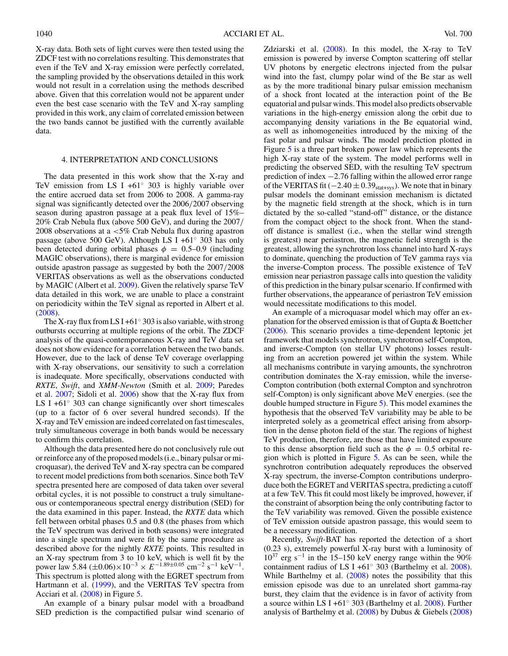<span id="page-7-0"></span>X-ray data. Both sets of light curves were then tested using the ZDCF test with no correlations resulting. This demonstrates that even if the TeV and X-ray emission were perfectly correlated, the sampling provided by the observations detailed in this work would not result in a correlation using the methods described above. Given that this correlation would not be apparent under even the best case scenario with the TeV and X-ray sampling provided in this work, any claim of correlated emission between the two bands cannot be justified with the currently available data.

## 4. INTERPRETATION AND CONCLUSIONS

The data presented in this work show that the X-ray and TeV emission from LS I +61◦ 303 is highly variable over the entire accrued data set from 2006 to 2008. A gamma-ray signal was significantly detected over the 2006*/*2007 observing season during apastron passage at a peak flux level of 15%– 20% Crab Nebula flux (above 500 GeV), and during the 2007*/* 2008 observations at a *<*5% Crab Nebula flux during apastron passage (above 500 GeV). Although LS I +61◦ 303 has only been detected during orbital phases  $\phi = 0.5{\text -}0.9$  (including MAGIC observations), there is marginal evidence for emission outside apastron passage as suggested by both the 2007*/*2008 VERITAS observations as well as the observations conducted by MAGIC (Albert et al. [2009\)](#page-8-0). Given the relatively sparse TeV data detailed in this work, we are unable to place a constraint on periodicity within the TeV signal as reported in Albert et al. [\(2008\)](#page-8-0).

The X-ray flux from LS I +61 $\degree$  303 is also variable, with strong outbursts occurring at multiple regions of the orbit. The ZDCF analysis of the quasi-contemporaneous X-ray and TeV data set does not show evidence for a correlation between the two bands. However, due to the lack of dense TeV coverage overlapping with X-ray observations, our sensitivity to such a correlation is inadequate. More specifically, observations conducted with *RXTE*, *Swift*, and *XMM-Newton* (Smith et al. [2009;](#page-8-0) Paredes et al. [2007;](#page-8-0) Sidoli et al. [2006\)](#page-8-0) show that the X-ray flux from LS I +61◦ 303 can change significantly over short timescales (up to a factor of 6 over several hundred seconds). If the X-ray and TeV emission are indeed correlated on fast timescales, truly simultaneous coverage in both bands would be necessary to confirm this correlation.

Although the data presented here do not conclusively rule out or reinforce any of the proposed models (i.e., binary pulsar or microquasar), the derived TeV and X-ray spectra can be compared to recent model predictions from both scenarios. Since both TeV spectra presented here are composed of data taken over several orbital cycles, it is not possible to construct a truly simultaneous or contemporaneous spectral energy distribution (SED) for the data examined in this paper. Instead, the *RXTE* data which fell between orbital phases 0.5 and 0.8 (the phases from which the TeV spectrum was derived in both seasons) were integrated into a single spectrum and were fit by the same procedure as described above for the nightly *RXTE* points. This resulted in an X-ray spectrum from 3 to 10 keV, which is well fit by the power law 5.84  $(\pm 0.06) \times 10^{-3} \times E^{-1.89 \pm 0.05}$  cm<sup>-2</sup> s<sup>-1</sup> keV<sup>-1</sup>. This spectrum is plotted along with the EGRET spectrum from Hartmann et al. [\(1999\)](#page-8-0), and the VERITAS TeV spectra from Acciari et al. [\(2008\)](#page-8-0) in Figure [5.](#page-6-0)

An example of a binary pulsar model with a broadband SED prediction is the compactified pulsar wind scenario of Zdziarski et al. [\(2008\)](#page-8-0). In this model, the X-ray to TeV emission is powered by inverse Compton scattering off stellar UV photons by energetic electrons injected from the pulsar wind into the fast, clumpy polar wind of the Be star as well as by the more traditional binary pulsar emission mechanism of a shock front located at the interaction point of the Be equatorial and pulsar winds. This model also predicts observable variations in the high-energy emission along the orbit due to accompanying density variations in the Be equatorial wind, as well as inhomogeneities introduced by the mixing of the fast polar and pulsar winds. The model prediction plotted in Figure [5](#page-6-0) is a three part broken power law which represents the high X-ray state of the system. The model performs well in predicting the observed SED, with the resulting TeV spectrum prediction of index −2.76 falling within the allowed error range of the VERITAS fit ( $-2.40 \pm 0.39$ <sub>stat+sys</sub>). We note that in binary pulsar models the dominant emission mechanism is dictated by the magnetic field strength at the shock, which is in turn dictated by the so-called "stand-off" distance, or the distance from the compact object to the shock front. When the standoff distance is smallest (i.e., when the stellar wind strength is greatest) near periastron, the magnetic field strength is the greatest, allowing the synchrotron loss channel into hard X-rays to dominate, quenching the production of TeV gamma rays via the inverse-Compton process. The possible existence of TeV emission near periastron passage calls into question the validity of this prediction in the binary pulsar scenario. If confirmed with further observations, the appearance of periastron TeV emission would necessitate modifications to this model.

An example of a microquasar model which may offer an explanation for the observed emission is that of Gupta & Boettcher [\(2006\)](#page-8-0). This scenario provides a time-dependent leptonic jet framework that models synchrotron, synchrotron self-Compton, and inverse-Compton (on stellar UV photons) losses resulting from an accretion powered jet within the system. While all mechanisms contribute in varying amounts, the synchrotron contribution dominates the X-ray emission, while the inverse-Compton contribution (both external Compton and synchrotron self-Compton) is only significant above MeV energies. (see the double humped structure in Figure [5\)](#page-6-0). This model examines the hypothesis that the observed TeV variability may be able to be interpreted solely as a geometrical effect arising from absorption in the dense photon field of the star. The regions of highest TeV production, therefore, are those that have limited exposure to this dense absorption field such as the  $\phi = 0.5$  orbital region which is plotted in Figure [5.](#page-6-0) As can be seen, while the synchrotron contribution adequately reproduces the observed X-ray spectrum, the inverse-Compton contributions underproduce both the EGRET and VERITAS spectra, predicting a cutoff at a few TeV. This fit could most likely be improved, however, if the constraint of absorption being the only contributing factor to the TeV variability was removed. Given the possible existence of TeV emission outside apastron passage, this would seem to be a necessary modification.

Recently, *Swift*-BAT has reported the detection of a short (0.23 s), extremely powerful X-ray burst with a luminosity of  $10^{37}$  erg s<sup>-1</sup> in the 15–150 keV energy range within the 90% containment radius of LS I +61◦ 303 (Barthelmy et al. [2008\)](#page-8-0). While Barthelmy et al. [\(2008\)](#page-8-0) notes the possibility that this emission episode was due to an unrelated short gamma-ray burst, they claim that the evidence is in favor of activity from a source within LS I +61 $\degree$  303 (Barthelmy et al. [2008\)](#page-8-0). Further analysis of Barthelmy et al. [\(2008\)](#page-8-0) by Dubus & Giebels [\(2008\)](#page-8-0)